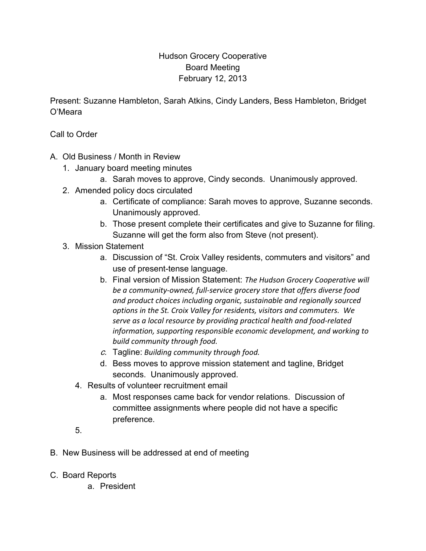## Hudson Grocery Cooperative Board Meeting February 12, 2013

Present: Suzanne Hambleton, Sarah Atkins, Cindy Landers, Bess Hambleton, Bridget O'Meara

Call to Order

- A. Old Business / Month in Review
	- 1. January board meeting minutes
		- a. Sarah moves to approve, Cindy seconds. Unanimously approved.
	- 2. Amended policy docs circulated
		- a. Certificate of compliance: Sarah moves to approve, Suzanne seconds. Unanimously approved.
		- b. Those present complete their certificates and give to Suzanne for filing. Suzanne will get the form also from Steve (not present).
	- 3. Mission Statement
		- a. Discussion of "St. Croix Valley residents, commuters and visitors" and use of present-tense language.
		- b. Final version of Mission Statement: *The Hudson Grocery Cooperative will be a community-owned, full-service grocery store that offers diverse food and product choices including organic, sustainable and regionally sourced options in the St. Croix Valley for residents, visitors and commuters. We serve as a local resource by providing practical health and food-related information, supporting responsible economic development, and working to build community through food.*
		- c. Tagline: *Building community through food.*
		- d. Bess moves to approve mission statement and tagline, Bridget seconds. Unanimously approved.
		- 4. Results of volunteer recruitment email
			- a. Most responses came back for vendor relations. Discussion of committee assignments where people did not have a specific preference.
		- 5.
- B. New Business will be addressed at end of meeting
- C. Board Reports
	- a. President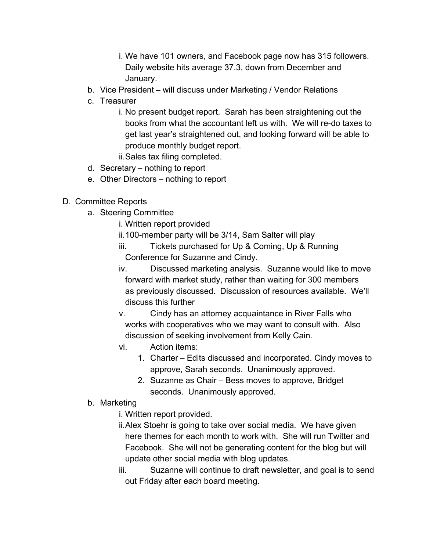- i. We have 101 owners, and Facebook page now has 315 followers. Daily website hits average 37.3, down from December and January.
- b. Vice President will discuss under Marketing / Vendor Relations
- c. Treasurer
	- i. No present budget report. Sarah has been straightening out the books from what the accountant left us with. We will re-do taxes to get last year's straightened out, and looking forward will be able to produce monthly budget report.
	- ii.Sales tax filing completed.
- d. Secretary nothing to report
- e. Other Directors nothing to report

## D. Committee Reports

- a. Steering Committee
	- i. Written report provided
	- ii.100-member party will be 3/14, Sam Salter will play
	- iii. Tickets purchased for Up & Coming, Up & Running Conference for Suzanne and Cindy.
	- iv. Discussed marketing analysis. Suzanne would like to move forward with market study, rather than waiting for 300 members as previously discussed. Discussion of resources available. We'll discuss this further
	- v. Cindy has an attorney acquaintance in River Falls who works with cooperatives who we may want to consult with. Also discussion of seeking involvement from Kelly Cain.
	- vi. Action items:
		- 1. Charter Edits discussed and incorporated. Cindy moves to approve, Sarah seconds. Unanimously approved.
		- 2. Suzanne as Chair Bess moves to approve, Bridget seconds. Unanimously approved.
- b. Marketing
	- i. Written report provided.
	- ii.Alex Stoehr is going to take over social media. We have given here themes for each month to work with. She will run Twitter and Facebook. She will not be generating content for the blog but will update other social media with blog updates.
	- iii. Suzanne will continue to draft newsletter, and goal is to send out Friday after each board meeting.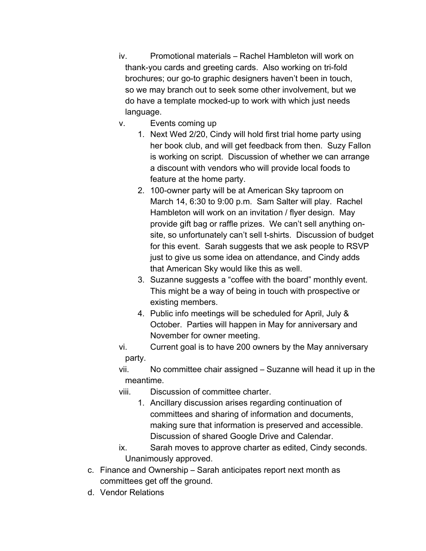- iv. Promotional materials Rachel Hambleton will work on thank-you cards and greeting cards. Also working on tri-fold brochures; our go-to graphic designers haven't been in touch, so we may branch out to seek some other involvement, but we do have a template mocked-up to work with which just needs language.
- v. Events coming up
	- 1. Next Wed 2/20, Cindy will hold first trial home party using her book club, and will get feedback from then. Suzy Fallon is working on script. Discussion of whether we can arrange a discount with vendors who will provide local foods to feature at the home party.
	- 2. 100-owner party will be at American Sky taproom on March 14, 6:30 to 9:00 p.m. Sam Salter will play. Rachel Hambleton will work on an invitation / flyer design. May provide gift bag or raffle prizes. We can't sell anything onsite, so unfortunately can't sell t-shirts. Discussion of budget for this event. Sarah suggests that we ask people to RSVP just to give us some idea on attendance, and Cindy adds that American Sky would like this as well.
	- 3. Suzanne suggests a "coffee with the board" monthly event. This might be a way of being in touch with prospective or existing members.
	- 4. Public info meetings will be scheduled for April, July & October. Parties will happen in May for anniversary and November for owner meeting.
- vi. Current goal is to have 200 owners by the May anniversary party.
- vii. No committee chair assigned Suzanne will head it up in the meantime.
- viii. Discussion of committee charter.
	- 1. Ancillary discussion arises regarding continuation of committees and sharing of information and documents, making sure that information is preserved and accessible. Discussion of shared Google Drive and Calendar.
- ix. Sarah moves to approve charter as edited, Cindy seconds. Unanimously approved.
- c. Finance and Ownership Sarah anticipates report next month as committees get off the ground.
- d. Vendor Relations